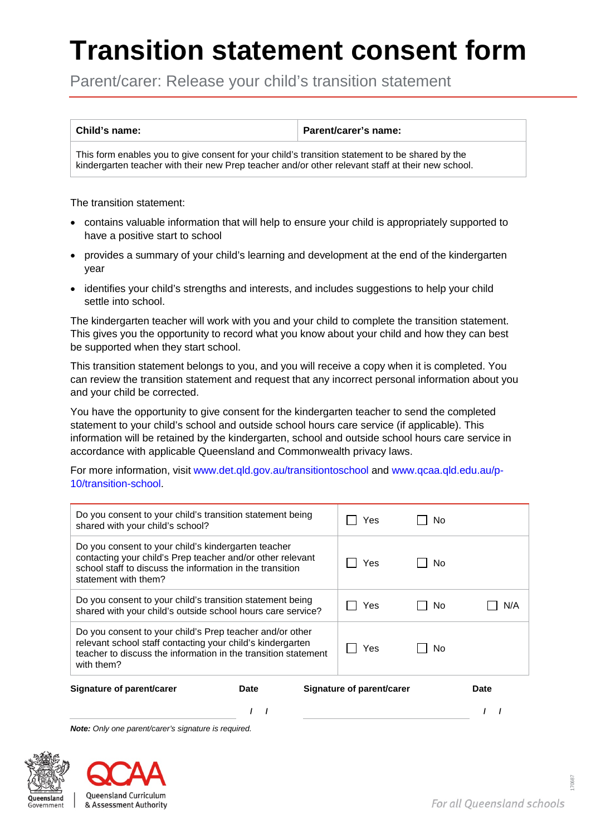## **Transition statement consent form**

Parent/carer: Release your child's transition statement

**Child's name: Parent/carer's name:**

This form enables you to give consent for your child's transition statement to be shared by the kindergarten teacher with their new Prep teacher and/or other relevant staff at their new school.

The transition statement:

- contains valuable information that will help to ensure your child is appropriately supported to have a positive start to school
- provides a summary of your child's learning and development at the end of the kindergarten year
- identifies your child's strengths and interests, and includes suggestions to help your child settle into school.

The kindergarten teacher will work with you and your child to complete the transition statement. This gives you the opportunity to record what you know about your child and how they can best be supported when they start school.

This transition statement belongs to you, and you will receive a copy when it is completed. You can review the transition statement and request that any incorrect personal information about you and your child be corrected.

You have the opportunity to give consent for the kindergarten teacher to send the completed statement to your child's school and outside school hours care service (if applicable). This information will be retained by the kindergarten, school and outside school hours care service in accordance with applicable Queensland and Commonwealth privacy laws.

For more information, visit [www.det.qld.gov.au/transitiontoschool](http://www.det.qld.gov.au/transitiontoschool) and [www.qcaa.qld.edu.au/p-](http://www.qcaa.qld.edu.au/p-10/transition-school)[10/transition-school.](http://www.qcaa.qld.edu.au/p-10/transition-school)

| Do you consent to your child's transition statement being<br>shared with your child's school?                                                                                                          |             |     | Yes                       | No. |             |
|--------------------------------------------------------------------------------------------------------------------------------------------------------------------------------------------------------|-------------|-----|---------------------------|-----|-------------|
| Do you consent to your child's kindergarten teacher<br>contacting your child's Prep teacher and/or other relevant<br>school staff to discuss the information in the transition<br>statement with them? |             |     | Yes.                      | No  |             |
| Do you consent to your child's transition statement being<br>shared with your child's outside school hours care service?                                                                               |             | Yes | No.                       | N/A |             |
| Do you consent to your child's Prep teacher and/or other<br>relevant school staff contacting your child's kindergarten<br>teacher to discuss the information in the transition statement<br>with them? |             |     | Yes                       | No  |             |
| Signature of parent/carer                                                                                                                                                                              | <b>Date</b> |     | Signature of parent/carer |     | <b>Date</b> |
|                                                                                                                                                                                                        |             |     |                           |     |             |

*Note: Only one parent/carer's signature is required.*





170687